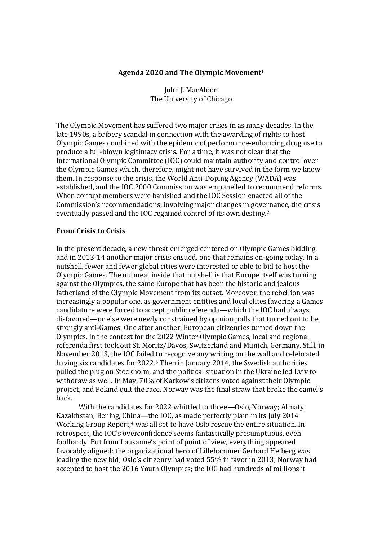# **Agenda 2020 and The Olympic Movement<sup>1</sup>**

John J. MacAloon The University of Chicago

The Olympic Movement has suffered two major crises in as many decades. In the late 1990s, a bribery scandal in connection with the awarding of rights to host Olympic Games combined with the epidemic of performance-enhancing drug use to produce a full-blown legitimacy crisis. For a time, it was not clear that the International Olympic Committee (IOC) could maintain authority and control over the Olympic Games which, therefore, might not have survived in the form we know them. In response to the crisis, the World Anti-Doping Agency (WADA) was established, and the IOC 2000 Commission was empanelled to recommend reforms. When corrupt members were banished and the IOC Session enacted all of the Commission's recommendations, involving major changes in governance, the crisis eventually passed and the IOC regained control of its own destiny.<sup>2</sup>

# **From Crisis to Crisis**

In the present decade, a new threat emerged centered on Olympic Games bidding, and in 2013-14 another major crisis ensued, one that remains on-going today. In a nutshell, fewer and fewer global cities were interested or able to bid to host the Olympic Games. The nutmeat inside that nutshell is that Europe itself was turning against the Olympics, the same Europe that has been the historic and jealous fatherland of the Olympic Movement from its outset. Moreover, the rebellion was increasingly a popular one, as government entities and local elites favoring a Games candidature were forced to accept public referenda—which the IOC had always disfavored—or else were newly constrained by opinion polls that turned out to be strongly anti-Games. One after another, European citizenries turned down the Olympics. In the contest for the 2022 Winter Olympic Games, local and regional referenda first took out St. Moritz/Davos, Switzerland and Munich, Germany. Still, in November 2013, the IOC failed to recognize any writing on the wall and celebrated having six candidates for 2022.3 Then in January 2014, the Swedish authorities pulled the plug on Stockholm, and the political situation in the Ukraine led Lviv to withdraw as well. In May, 70% of Karkow's citizens voted against their Olympic project, and Poland quit the race. Norway was the final straw that broke the camel's back.

With the candidates for 2022 whittled to three—Oslo, Norway; Almaty, Kazakhstan; Beijing, China—the IOC, as made perfectly plain in its July 2014 Working Group Report,<sup>4</sup> was all set to have Oslo rescue the entire situation. In retrospect, the IOC's overconfidence seems fantastically presumptuous, even foolhardy. But from Lausanne's point of point of view, everything appeared favorably aligned: the organizational hero of Lillehammer Gerhard Heiberg was leading the new bid; Oslo's citizenry had voted 55% in favor in 2013; Norway had accepted to host the 2016 Youth Olympics; the IOC had hundreds of millions it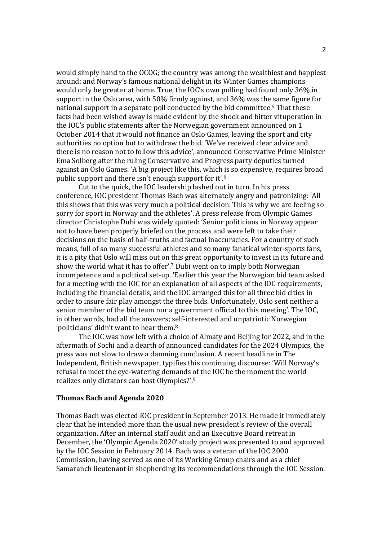would simply hand to the OCOG; the country was among the wealthiest and happiest around; and Norway's famous national delight in its Winter Games champions would only be greater at home. True, the IOC's own polling had found only 36% in support in the Oslo area, with 50% firmly against, and 36% was the same figure for national support in a separate poll conducted by the bid committee.5 That these facts had been wished away is made evident by the shock and bitter vituperation in the IOC's public statements after the Norwegian government announced on 1 October 2014 that it would not finance an Oslo Games, leaving the sport and city authorities no option but to withdraw the bid. 'We've received clear advice and there is no reason not to follow this advice', announced Conservative Prime Minister Ema Solberg after the ruling Conservative and Progress party deputies turned against an Oslo Games. 'A big project like this, which is so expensive, requires broad public support and there isn't enough support for it'.<sup>6</sup>

Cut to the quick, the IOC leadership lashed out in turn. In his press conference, IOC president Thomas Bach was alternately angry and patronizing: 'All this shows that this was very much a political decision. This is why we are feeling so sorry for sport in Norway and the athletes'. A press release from Olympic Games director Christophe Dubi was widely quoted: 'Senior politicians in Norway appear not to have been properly briefed on the process and were left to take their decisions on the basis of half-truths and factual inaccuracies. For a country of such means, full of so many successful athletes and so many fanatical winter-sports fans, it is a pity that Oslo will miss out on this great opportunity to invest in its future and show the world what it has to offer'.<sup>7</sup> Dubi went on to imply both Norwegian incompetence and a political set-up. 'Earlier this year the Norwegian bid team asked for a meeting with the IOC for an explanation of all aspects of the IOC requirements, including the financial details, and the IOC arranged this for all three bid cities in order to insure fair play amongst the three bids. Unfortunately, Oslo sent neither a senior member of the bid team nor a government official to this meeting'. The IOC, in other words, had all the answers; self-interested and unpatriotic Norwegian 'politicians' didn't want to hear them.<sup>8</sup>

The IOC was now left with a choice of Almaty and Beijing for 2022, and in the aftermath of Sochi and a dearth of announced candidates for the 2024 Olympics, the press was not slow to draw a damning conclusion. A recent headline in The Independent, British newspaper, typifies this continuing discourse: 'Will Norway's refusal to meet the eye-watering demands of the IOC be the moment the world realizes only dictators can host Olympics?'.<sup>9</sup>

#### **Thomas Bach and Agenda 2020**

Thomas Bach was elected IOC president in September 2013. He made it immediately clear that he intended more than the usual new president's review of the overall organization. After an internal staff audit and an Executive Board retreat in December, the 'Olympic Agenda 2020' study project was presented to and approved by the IOC Session in February 2014. Bach was a veteran of the IOC 2000 Commission, having served as one of its Working Group chairs and as a chief Samaranch lieutenant in shepherding its recommendations through the IOC Session.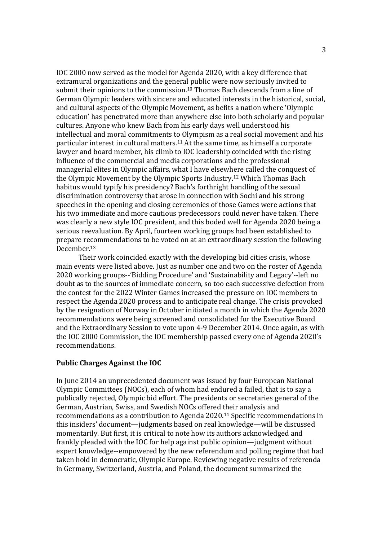IOC 2000 now served as the model for Agenda 2020, with a key difference that extramural organizations and the general public were now seriously invited to submit their opinions to the commission.<sup>10</sup> Thomas Bach descends from a line of German Olympic leaders with sincere and educated interests in the historical, social, and cultural aspects of the Olympic Movement, as befits a nation where 'Olympic education' has penetrated more than anywhere else into both scholarly and popular cultures. Anyone who knew Bach from his early days well understood his intellectual and moral commitments to Olympism as a real social movement and his particular interest in cultural matters.11 At the same time, as himself a corporate lawyer and board member, his climb to IOC leadership coincided with the rising influence of the commercial and media corporations and the professional managerial elites in Olympic affairs, what I have elsewhere called the conquest of the Olympic Movement by the Olympic Sports Industry. <sup>12</sup> Which Thomas Bach habitus would typify his presidency? Bach's forthright handling of the sexual discrimination controversy that arose in connection with Sochi and his strong speeches in the opening and closing ceremonies of those Games were actions that his two immediate and more cautious predecessors could never have taken. There was clearly a new style IOC president, and this boded well for Agenda 2020 being a serious reevaluation. By April, fourteen working groups had been established to prepare recommendations to be voted on at an extraordinary session the following December.<sup>13</sup>

Their work coincided exactly with the developing bid cities crisis, whose main events were listed above. Just as number one and two on the roster of Agenda 2020 working groups--'Bidding Procedure' and 'Sustainability and Legacy'--left no doubt as to the sources of immediate concern, so too each successive defection from the contest for the 2022 Winter Games increased the pressure on IOC members to respect the Agenda 2020 process and to anticipate real change. The crisis provoked by the resignation of Norway in October initiated a month in which the Agenda 2020 recommendations were being screened and consolidated for the Executive Board and the Extraordinary Session to vote upon 4-9 December 2014. Once again, as with the IOC 2000 Commission, the IOC membership passed every one of Agenda 2020's recommendations.

## **Public Charges Against the IOC**

In June 2014 an unprecedented document was issued by four European National Olympic Committees (NOCs), each of whom had endured a failed, that is to say a publically rejected, Olympic bid effort. The presidents or secretaries general of the German, Austrian, Swiss, and Swedish NOCs offered their analysis and recommendations as a contribution to Agenda 2020.<sup>14</sup> Specific recommendations in this insiders' document—judgments based on real knowledge—will be discussed momentarily. But first, it is critical to note how its authors acknowledged and frankly pleaded with the IOC for help against public opinion—judgment without expert knowledge--empowered by the new referendum and polling regime that had taken hold in democratic, Olympic Europe. Reviewing negative results of referenda in Germany, Switzerland, Austria, and Poland, the document summarized the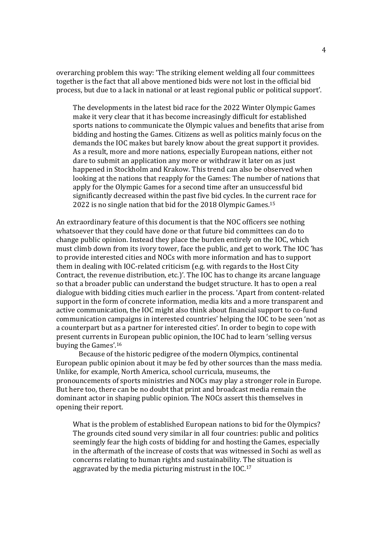overarching problem this way: 'The striking element welding all four committees together is the fact that all above mentioned bids were not lost in the official bid process, but due to a lack in national or at least regional public or political support'.

The developments in the latest bid race for the 2022 Winter Olympic Games make it very clear that it has become increasingly difficult for established sports nations to communicate the Olympic values and benefits that arise from bidding and hosting the Games. Citizens as well as politics mainly focus on the demands the IOC makes but barely know about the great support it provides. As a result, more and more nations, especially European nations, either not dare to submit an application any more or withdraw it later on as just happened in Stockholm and Krakow. This trend can also be observed when looking at the nations that reapply for the Games: The number of nations that apply for the Olympic Games for a second time after an unsuccessful bid significantly decreased within the past five bid cycles. In the current race for 2022 is no single nation that bid for the 2018 Olympic Games.<sup>15</sup>

An extraordinary feature of this document is that the NOC officers see nothing whatsoever that they could have done or that future bid committees can do to change public opinion. Instead they place the burden entirely on the IOC, which must climb down from its ivory tower, face the public, and get to work. The IOC 'has to provide interested cities and NOCs with more information and has to support them in dealing with IOC-related criticism (e.g. with regards to the Host City Contract, the revenue distribution, etc.)'. The IOC has to change its arcane language so that a broader public can understand the budget structure. It has to open a real dialogue with bidding cities much earlier in the process. 'Apart from content-related support in the form of concrete information, media kits and a more transparent and active communication, the IOC might also think about financial support to co-fund communication campaigns in interested countries' helping the IOC to be seen 'not as a counterpart but as a partner for interested cities'. In order to begin to cope with present currents in European public opinion, the IOC had to learn 'selling versus buying the Games'.<sup>16</sup>

 Because of the historic pedigree of the modern Olympics, continental European public opinion about it may be fed by other sources than the mass media. Unlike, for example, North America, school curricula, museums, the pronouncements of sports ministries and NOCs may play a stronger role in Europe. But here too, there can be no doubt that print and broadcast media remain the dominant actor in shaping public opinion. The NOCs assert this themselves in opening their report.

What is the problem of established European nations to bid for the Olympics? The grounds cited sound very similar in all four countries: public and politics seemingly fear the high costs of bidding for and hosting the Games, especially in the aftermath of the increase of costs that was witnessed in Sochi as well as concerns relating to human rights and sustainability. The situation is aggravated by the media picturing mistrust in the IOC.17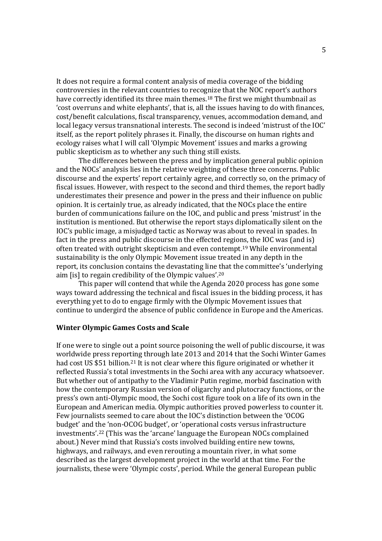It does not require a formal content analysis of media coverage of the bidding controversies in the relevant countries to recognize that the NOC report's authors have correctly identified its three main themes.<sup>18</sup> The first we might thumbnail as 'cost overruns and white elephants', that is, all the issues having to do with finances, cost/benefit calculations, fiscal transparency, venues, accommodation demand, and local legacy versus transnational interests. The second is indeed 'mistrust of the IOC' itself, as the report politely phrases it. Finally, the discourse on human rights and ecology raises what I will call 'Olympic Movement' issues and marks a growing public skepticism as to whether any such thing still exists.

The differences between the press and by implication general public opinion and the NOCs' analysis lies in the relative weighting of these three concerns. Public discourse and the experts' report certainly agree, and correctly so, on the primacy of fiscal issues. However, with respect to the second and third themes, the report badly underestimates their presence and power in the press and their influence on public opinion. It is certainly true, as already indicated, that the NOCs place the entire burden of communications failure on the IOC, and public and press 'mistrust' in the institution is mentioned. But otherwise the report stays diplomatically silent on the IOC's public image, a misjudged tactic as Norway was about to reveal in spades. In fact in the press and public discourse in the effected regions, the IOC was (and is) often treated with outright skepticism and even contempt.19 While environmental sustainability is the only Olympic Movement issue treated in any depth in the report, its conclusion contains the devastating line that the committee's 'underlying aim [is] to regain credibility of the Olympic values'.<sup>20</sup>

 This paper will contend that while the Agenda 2020 process has gone some ways toward addressing the technical and fiscal issues in the bidding process, it has everything yet to do to engage firmly with the Olympic Movement issues that continue to undergird the absence of public confidence in Europe and the Americas.

#### **Winter Olympic Games Costs and Scale**

If one were to single out a point source poisoning the well of public discourse, it was worldwide press reporting through late 2013 and 2014 that the Sochi Winter Games had cost US \$51 billion.<sup>21</sup> It is not clear where this figure originated or whether it reflected Russia's total investments in the Sochi area with any accuracy whatsoever. But whether out of antipathy to the Vladimir Putin regime, morbid fascination with how the contemporary Russian version of oligarchy and plutocracy functions, or the press's own anti-Olympic mood, the Sochi cost figure took on a life of its own in the European and American media. Olympic authorities proved powerless to counter it. Few journalists seemed to care about the IOC's distinction between the 'OCOG budget' and the 'non-OCOG budget', or 'operational costs versus infrastructure investments'.22 (This was the 'arcane' language the European NOCs complained about.) Never mind that Russia's costs involved building entire new towns, highways, and railways, and even rerouting a mountain river, in what some described as the largest development project in the world at that time. For the journalists, these were 'Olympic costs', period. While the general European public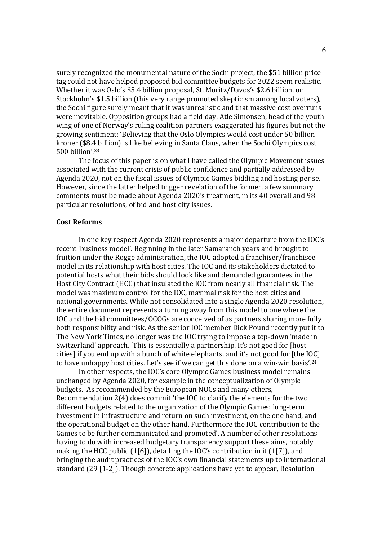surely recognized the monumental nature of the Sochi project, the \$51 billion price tag could not have helped proposed bid committee budgets for 2022 seem realistic. Whether it was Oslo's \$5.4 billion proposal, St. Moritz/Davos's \$2.6 billion, or Stockholm's \$1.5 billion (this very range promoted skepticism among local voters), the Sochi figure surely meant that it was unrealistic and that massive cost overruns were inevitable. Opposition groups had a field day. Atle Simonsen, head of the youth wing of one of Norway's ruling coalition partners exaggerated his figures but not the growing sentiment: 'Believing that the Oslo Olympics would cost under 50 billion kroner (\$8.4 billion) is like believing in Santa Claus, when the Sochi Olympics cost 500 billion'.<sup>23</sup>

 The focus of this paper is on what I have called the Olympic Movement issues associated with the current crisis of public confidence and partially addressed by Agenda 2020, not on the fiscal issues of Olympic Games bidding and hosting per se. However, since the latter helped trigger revelation of the former, a few summary comments must be made about Agenda 2020's treatment, in its 40 overall and 98 particular resolutions, of bid and host city issues.

#### **Cost Reforms**

 In one key respect Agenda 2020 represents a major departure from the IOC's recent 'business model'. Beginning in the later Samaranch years and brought to fruition under the Rogge administration, the IOC adopted a franchiser/franchisee model in its relationship with host cities. The IOC and its stakeholders dictated to potential hosts what their bids should look like and demanded guarantees in the Host City Contract (HCC) that insulated the IOC from nearly all financial risk. The model was maximum control for the IOC, maximal risk for the host cities and national governments. While not consolidated into a single Agenda 2020 resolution, the entire document represents a turning away from this model to one where the IOC and the bid committees/OCOGs are conceived of as partners sharing more fully both responsibility and risk. As the senior IOC member Dick Pound recently put it to The New York Times, no longer was the IOC trying to impose a top-down 'made in Switzerland' approach. 'This is essentially a partnership. It's not good for [host cities] if you end up with a bunch of white elephants, and it's not good for [the IOC] to have unhappy host cities. Let's see if we can get this done on a win-win basis'.<sup>24</sup>

In other respects, the IOC's core Olympic Games business model remains unchanged by Agenda 2020, for example in the conceptualization of Olympic budgets. As recommended by the European NOCs and many others, Recommendation 2(4) does commit 'the IOC to clarify the elements for the two different budgets related to the organization of the Olympic Games: long-term investment in infrastructure and return on such investment, on the one hand, and the operational budget on the other hand. Furthermore the IOC contribution to the Games to be further communicated and promoted'. A number of other resolutions having to do with increased budgetary transparency support these aims, notably making the HCC public (1[6]), detailing the IOC's contribution in it (1[7]), and bringing the audit practices of the IOC's own financial statements up to international standard (29 [1-2]). Though concrete applications have yet to appear, Resolution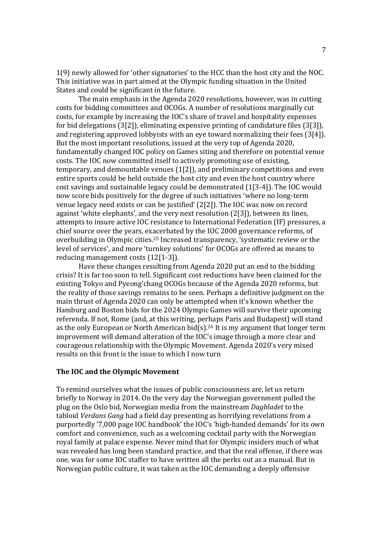1(9) newly allowed for 'other signatories' to the HCC than the host city and the NOC. This initiative was in part aimed at the Olympic funding situation in the United States and could be significant in the future.

 The main emphasis in the Agenda 2020 resolutions, however, was in cutting costs for bidding committees and OCOGs. A number of resolutions marginally cut costs, for example by increasing the IOC's share of travel and hospitality expenses for bid delegations (3[2]), eliminating expensive printing of candidature files (3[3]), and registering approved lobbyists with an eye toward normalizing their fees (3[4]). But the most important resolutions, issued at the very top of Agenda 2020, fundamentally changed IOC policy on Games siting and therefore on potential venue costs. The IOC now committed itself to actively promoting use of existing, temporary, and demountable venues (1[2]), and preliminary competitions and even entire sports could be held outside the host city and even the host country where cost savings and sustainable legacy could be demonstrated (1[3-4]). The IOC would now score bids positively for the degree of such initiatives 'where no long-term venue legacy need exists or can be justified' (2[2]). The IOC was now on record against 'white elephants', and the very next resolution (2[3]), between its lines, attempts to insure active IOC resistance to International Federation (IF) pressures, a chief source over the years, exacerbated by the IOC 2000 governance reforms, of overbuilding in Olympic cities.25 Increased transparency, 'systematic review or the level of services', and more 'turnkey solutions' for OCOGs are offered as means to reducing management costs (12[1-3]).

 Have these changes resulting from Agenda 2020 put an end to the bidding crisis? It is far too soon to tell. Significant cost reductions have been claimed for the existing Tokyo and Pyeong'chang OCOGs because of the Agenda 2020 reforms, but the reality of those savings remains to be seen. Perhaps a definitive judgment on the main thrust of Agenda 2020 can only be attempted when it's known whether the Hamburg and Boston bids for the 2024 Olympic Games will survive their upcoming referenda. If not, Rome (and, at this writing, perhaps Paris and Budapest) will stand as the only European or North American bid(s).<sup>26</sup> It is my argument that longer term improvement will demand alteration of the IOC's image through a more clear and courageous relationship with the Olympic Movement. Agenda 2020's very mixed results on this front is the issue to which I now turn

## **The IOC and the Olympic Movement**

To remind ourselves what the issues of public consciousness are, let us return briefly to Norway in 2014. On the very day the Norwegian government pulled the plug on the Oslo bid, Norwegian media from the mainstream *Dagbladet* to the tabloid *Verdans Gang* had a field day presenting as horrifying revelations from a purportedly '7,000 page IOC handbook' the IOC's 'high-handed demands' for its own comfort and convenience, such as a welcoming cocktail party with the Norwegian royal family at palace expense. Never mind that for Olympic insiders much of what was revealed has long been standard practice, and that the real offense, if there was one, was for some IOC staffer to have written all the perks out as a manual. But in Norwegian public culture, it was taken as the IOC demanding a deeply offensive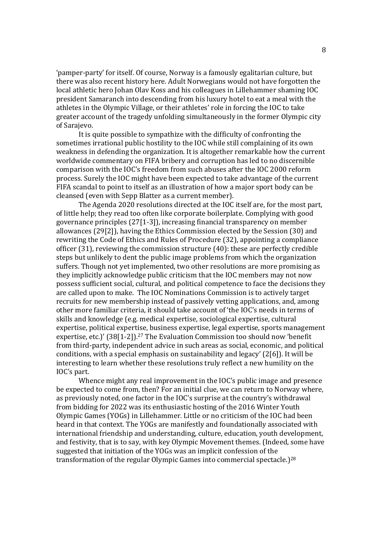'pamper-party' for itself. Of course, Norway is a famously egalitarian culture, but there was also recent history here. Adult Norwegians would not have forgotten the local athletic hero Johan Olav Koss and his colleagues in Lillehammer shaming IOC president Samaranch into descending from his luxury hotel to eat a meal with the athletes in the Olympic Village, or their athletes' role in forcing the IOC to take greater account of the tragedy unfolding simultaneously in the former Olympic city of Sarajevo.

 It is quite possible to sympathize with the difficulty of confronting the sometimes irrational public hostility to the IOC while still complaining of its own weakness in defending the organization. It is altogether remarkable how the current worldwide commentary on FIFA bribery and corruption has led to no discernible comparison with the IOC's freedom from such abuses after the IOC 2000 reform process. Surely the IOC might have been expected to take advantage of the current FIFA scandal to point to itself as an illustration of how a major sport body can be cleansed (even with Sepp Blatter as a current member).

The Agenda 2020 resolutions directed at the IOC itself are, for the most part, of little help; they read too often like corporate boilerplate. Complying with good governance principles (27[1-3]), increasing financial transparency on member allowances (29[2]), having the Ethics Commission elected by the Session (30) and rewriting the Code of Ethics and Rules of Procedure (32), appointing a compliance officer (31), reviewing the commission structure (40): these are perfectly credible steps but unlikely to dent the public image problems from which the organization suffers. Though not yet implemented, two other resolutions are more promising as they implicitly acknowledge public criticism that the IOC members may not now possess sufficient social, cultural, and political competence to face the decisions they are called upon to make. The IOC Nominations Commission is to actively target recruits for new membership instead of passively vetting applications, and, among other more familiar criteria, it should take account of 'the IOC's needs in terms of skills and knowledge (e.g. medical expertise, sociological expertise, cultural expertise, political expertise, business expertise, legal expertise, sports management expertise, etc.)' (38[1-2]).<sup>27</sup> The Evaluation Commission too should now 'benefit from third-party, independent advice in such areas as social, economic, and political conditions, with a special emphasis on sustainability and legacy' (2[6]). It will be interesting to learn whether these resolutions truly reflect a new humility on the IOC's part.

Whence might any real improvement in the IOC's public image and presence be expected to come from, then? For an initial clue, we can return to Norway where, as previously noted, one factor in the IOC's surprise at the country's withdrawal from bidding for 2022 was its enthusiastic hosting of the 2016 Winter Youth Olympic Games (YOGs) in Lillehammer. Little or no criticism of the IOC had been heard in that context. The YOGs are manifestly and foundationally associated with international friendship and understanding, culture, education, youth development, and festivity, that is to say, with key Olympic Movement themes. (Indeed, some have suggested that initiation of the YOGs was an implicit confession of the transformation of the regular Olympic Games into commercial spectacle.)<sup>28</sup>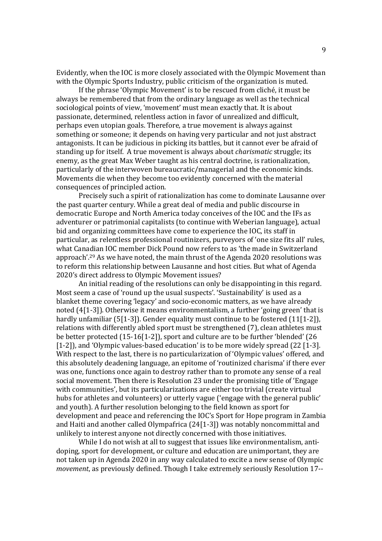Evidently, when the IOC is more closely associated with the Olympic Movement than with the Olympic Sports Industry, public criticism of the organization is muted.

 If the phrase 'Olympic Movement' is to be rescued from cliché, it must be always be remembered that from the ordinary language as well as the technical sociological points of view, 'movement' must mean exactly that. It is about passionate, determined, relentless action in favor of unrealized and difficult, perhaps even utopian goals. Therefore, a true movement is always against something or someone; it depends on having very particular and not just abstract antagonists. It can be judicious in picking its battles, but it cannot ever be afraid of standing up for itself. A true movement is always about *charismatic* struggle; its enemy, as the great Max Weber taught as his central doctrine, is rationalization, particularly of the interwoven bureaucratic/managerial and the economic kinds. Movements die when they become too evidently concerned with the material consequences of principled action.

Precisely such a spirit of rationalization has come to dominate Lausanne over the past quarter century. While a great deal of media and public discourse in democratic Europe and North America today conceives of the IOC and the IFs as adventurer or patrimonial capitalists (to continue with Weberian language), actual bid and organizing committees have come to experience the IOC, its staff in particular, as relentless professional routinizers, purveyors of 'one size fits all' rules, what Canadian IOC member Dick Pound now refers to as 'the made in Switzerland approach'.29 As we have noted, the main thrust of the Agenda 2020 resolutions was to reform this relationship between Lausanne and host cities. But what of Agenda 2020's direct address to Olympic Movement issues?

An initial reading of the resolutions can only be disappointing in this regard. Most seem a case of 'round up the usual suspects'. 'Sustainability' is used as a blanket theme covering 'legacy' and socio-economic matters, as we have already noted (4[1-3]). Otherwise it means environmentalism, a further 'going green' that is hardly unfamiliar (5[1-3]). Gender equality must continue to be fostered (11[1-2]), relations with differently abled sport must be strengthened (7), clean athletes must be better protected (15-16[1-2]), sport and culture are to be further 'blended' (26 [1-2]), and 'Olympic values-based education' is to be more widely spread (22 [1-3]. With respect to the last, there is no particularization of 'Olympic values' offered, and this absolutely deadening language, an epitome of 'routinized charisma' if there ever was one, functions once again to destroy rather than to promote any sense of a real social movement. Then there is Resolution 23 under the promising title of 'Engage with communities', but its particularizations are either too trivial (create virtual hubs for athletes and volunteers) or utterly vague ('engage with the general public' and youth). A further resolution belonging to the field known as sport for development and peace and referencing the IOC's Sport for Hope program in Zambia and Haiti and another called Olympafrica (24[1-3]) was notably noncommittal and unlikely to interest anyone not directly concerned with those initiatives.

While I do not wish at all to suggest that issues like environmentalism, antidoping, sport for development, or culture and education are unimportant, they are not taken up in Agenda 2020 in any way calculated to excite a new sense of Olympic *movement*, as previously defined. Though I take extremely seriously Resolution 17--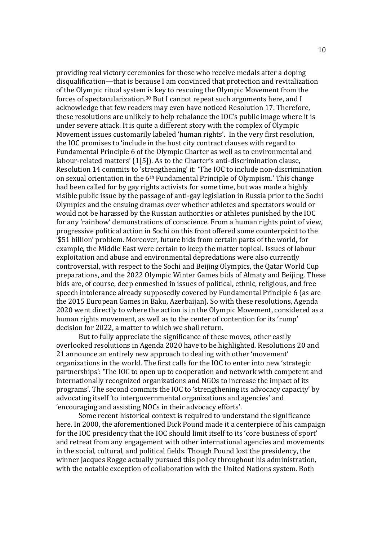providing real victory ceremonies for those who receive medals after a doping disqualification—that is because I am convinced that protection and revitalization of the Olympic ritual system is key to rescuing the Olympic Movement from the forces of spectacularization.30 But I cannot repeat such arguments here, and I acknowledge that few readers may even have noticed Resolution 17. Therefore, these resolutions are unlikely to help rebalance the IOC's public image where it is under severe attack. It is quite a different story with the complex of Olympic Movement issues customarily labeled 'human rights'. In the very first resolution, the IOC promises to 'include in the host city contract clauses with regard to Fundamental Principle 6 of the Olympic Charter as well as to environmental and labour-related matters' (1[5]). As to the Charter's anti-discrimination clause, Resolution 14 commits to 'strengthening' it: 'The IOC to include non-discrimination on sexual orientation in the 6th Fundamental Principle of Olympism.' This change had been called for by gay rights activists for some time, but was made a highly visible public issue by the passage of anti-gay legislation in Russia prior to the Sochi Olympics and the ensuing dramas over whether athletes and spectators would or would not be harassed by the Russian authorities or athletes punished by the IOC for any 'rainbow' demonstrations of conscience. From a human rights point of view, progressive political action in Sochi on this front offered some counterpoint to the '\$51 billion' problem. Moreover, future bids from certain parts of the world, for example, the Middle East were certain to keep the matter topical. Issues of labour exploitation and abuse and environmental depredations were also currently controversial, with respect to the Sochi and Beijing Olympics, the Qatar World Cup preparations, and the 2022 Olympic Winter Games bids of Almaty and Beijing. These bids are, of course, deep enmeshed in issues of political, ethnic, religious, and free speech intolerance already supposedly covered by Fundamental Principle 6 (as are the 2015 European Games in Baku, Azerbaijan). So with these resolutions, Agenda 2020 went directly to where the action is in the Olympic Movement, considered as a human rights movement, as well as to the center of contention for its 'rump' decision for 2022, a matter to which we shall return.

But to fully appreciate the significance of these moves, other easily overlooked resolutions in Agenda 2020 have to be highlighted. Resolutions 20 and 21 announce an entirely new approach to dealing with other 'movement' organizations in the world. The first calls for the IOC to enter into new 'strategic partnerships': 'The IOC to open up to cooperation and network with competent and internationally recognized organizations and NGOs to increase the impact of its programs'. The second commits the IOC to 'strengthening its advocacy capacity' by advocating itself 'to intergovernmental organizations and agencies' and 'encouraging and assisting NOCs in their advocacy efforts'.

Some recent historical context is required to understand the significance here. In 2000, the aforementioned Dick Pound made it a centerpiece of his campaign for the IOC presidency that the IOC should limit itself to its 'core business of sport' and retreat from any engagement with other international agencies and movements in the social, cultural, and political fields. Though Pound lost the presidency, the winner Jacques Rogge actually pursued this policy throughout his administration, with the notable exception of collaboration with the United Nations system. Both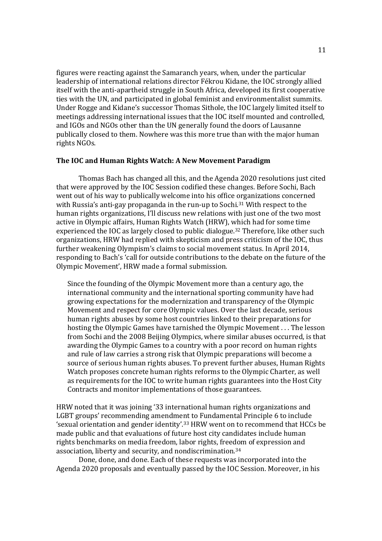figures were reacting against the Samaranch years, when, under the particular leadership of international relations director Fékrou Kidane, the IOC strongly allied itself with the anti-apartheid struggle in South Africa, developed its first cooperative ties with the UN, and participated in global feminist and environmentalist summits. Under Rogge and Kidane's successor Thomas Sithole, the IOC largely limited itself to meetings addressing international issues that the IOC itself mounted and controlled, and IGOs and NGOs other than the UN generally found the doors of Lausanne publically closed to them. Nowhere was this more true than with the major human rights NGOs.

## **The IOC and Human Rights Watch: A New Movement Paradigm**

Thomas Bach has changed all this, and the Agenda 2020 resolutions just cited that were approved by the IOC Session codified these changes. Before Sochi, Bach went out of his way to publically welcome into his office organizations concerned with Russia's anti-gay propaganda in the run-up to Sochi.<sup>31</sup> With respect to the human rights organizations, I'll discuss new relations with just one of the two most active in Olympic affairs, Human Rights Watch (HRW), which had for some time experienced the IOC as largely closed to public dialogue.32 Therefore, like other such organizations, HRW had replied with skepticism and press criticism of the IOC, thus further weakening Olympism's claims to social movement status. In April 2014, responding to Bach's 'call for outside contributions to the debate on the future of the Olympic Movement', HRW made a formal submission.

Since the founding of the Olympic Movement more than a century ago, the international community and the international sporting community have had growing expectations for the modernization and transparency of the Olympic Movement and respect for core Olympic values. Over the last decade, serious human rights abuses by some host countries linked to their preparations for hosting the Olympic Games have tarnished the Olympic Movement . . . The lesson from Sochi and the 2008 Beijing Olympics, where similar abuses occurred, is that awarding the Olympic Games to a country with a poor record on human rights and rule of law carries a strong risk that Olympic preparations will become a source of serious human rights abuses. To prevent further abuses, Human Rights Watch proposes concrete human rights reforms to the Olympic Charter, as well as requirements for the IOC to write human rights guarantees into the Host City Contracts and monitor implementations of those guarantees.

HRW noted that it was joining '33 international human rights organizations and LGBT groups' recommending amendment to Fundamental Principle 6 to include 'sexual orientation and gender identity'.33 HRW went on to recommend that HCCs be made public and that evaluations of future host city candidates include human rights benchmarks on media freedom, labor rights, freedom of expression and association, liberty and security, and nondiscrimination.<sup>34</sup>

Done, done, and done. Each of these requests was incorporated into the Agenda 2020 proposals and eventually passed by the IOC Session. Moreover, in his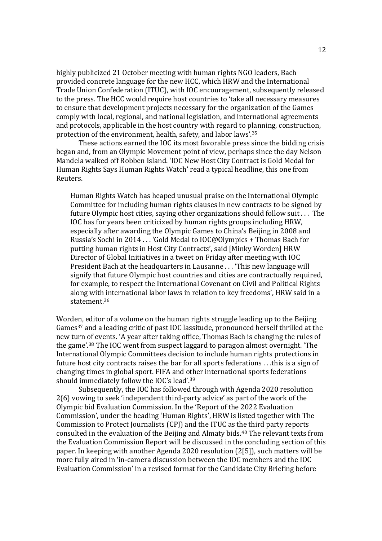highly publicized 21 October meeting with human rights NGO leaders, Bach provided concrete language for the new HCC, which HRW and the International Trade Union Confederation (ITUC), with IOC encouragement, subsequently released to the press. The HCC would require host countries to 'take all necessary measures to ensure that development projects necessary for the organization of the Games comply with local, regional, and national legislation, and international agreements and protocols, applicable in the host country with regard to planning, construction, protection of the environment, health, safety, and labor laws'.<sup>35</sup>

These actions earned the IOC its most favorable press since the bidding crisis began and, from an Olympic Movement point of view, perhaps since the day Nelson Mandela walked off Robben Island. 'IOC New Host City Contract is Gold Medal for Human Rights Says Human Rights Watch' read a typical headline, this one from Reuters.

Human Rights Watch has heaped unusual praise on the International Olympic Committee for including human rights clauses in new contracts to be signed by future Olympic host cities, saying other organizations should follow suit . . . The IOC has for years been criticized by human rights groups including HRW, especially after awarding the Olympic Games to China's Beijing in 2008 and Russia's Sochi in 2014 . . . 'Gold Medal to IOC@Olympics + Thomas Bach for putting human rights in Host City Contracts', said [Minky Worden] HRW Director of Global Initiatives in a tweet on Friday after meeting with IOC President Bach at the headquarters in Lausanne . . . 'This new language will signify that future Olympic host countries and cities are contractually required, for example, to respect the International Covenant on Civil and Political Rights along with international labor laws in relation to key freedoms', HRW said in a statement.<sup>36</sup>

Worden, editor of a volume on the human rights struggle leading up to the Beijing Games<sup>37</sup> and a leading critic of past IOC lassitude, pronounced herself thrilled at the new turn of events. 'A year after taking office, Thomas Bach is changing the rules of the game'.<sup>38</sup> The IOC went from suspect laggard to paragon almost overnight. 'The International Olympic Committees decision to include human rights protections in future host city contracts raises the bar for all sports federations . . .this is a sign of changing times in global sport. FIFA and other international sports federations should immediately follow the IOC's lead'.<sup>39</sup>

 Subsequently, the IOC has followed through with Agenda 2020 resolution 2(6) vowing to seek 'independent third-party advice' as part of the work of the Olympic bid Evaluation Commission. In the 'Report of the 2022 Evaluation Commission', under the heading 'Human Rights', HRW is listed together with The Commission to Protect Journalists (CPJ) and the ITUC as the third party reports consulted in the evaluation of the Beijing and Almaty bids.40 The relevant texts from the Evaluation Commission Report will be discussed in the concluding section of this paper. In keeping with another Agenda 2020 resolution (2[5]), such matters will be more fully aired in 'in-camera discussion between the IOC members and the IOC Evaluation Commission' in a revised format for the Candidate City Briefing before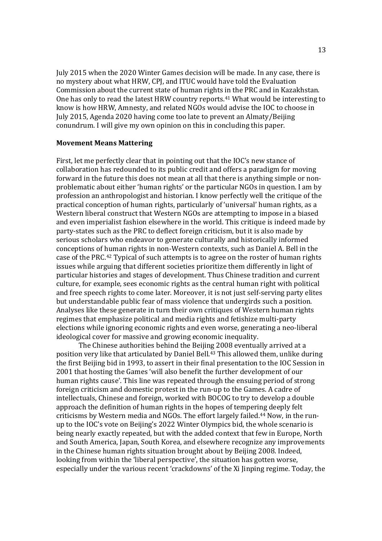July 2015 when the 2020 Winter Games decision will be made. In any case, there is no mystery about what HRW, CPJ, and ITUC would have told the Evaluation Commission about the current state of human rights in the PRC and in Kazakhstan. One has only to read the latest HRW country reports. <sup>41</sup> What would be interesting to know is how HRW, Amnesty, and related NGOs would advise the IOC to choose in July 2015, Agenda 2020 having come too late to prevent an Almaty/Beijing conundrum. I will give my own opinion on this in concluding this paper.

## **Movement Means Mattering**

First, let me perfectly clear that in pointing out that the IOC's new stance of collaboration has redounded to its public credit and offers a paradigm for moving forward in the future this does not mean at all that there is anything simple or nonproblematic about either 'human rights' or the particular NGOs in question. I am by profession an anthropologist and historian. I know perfectly well the critique of the practical conception of human rights, particularly of 'universal' human rights, as a Western liberal construct that Western NGOs are attempting to impose in a biased and even imperialist fashion elsewhere in the world. This critique is indeed made by party-states such as the PRC to deflect foreign criticism, but it is also made by serious scholars who endeavor to generate culturally and historically informed conceptions of human rights in non-Western contexts, such as Daniel A. Bell in the case of the PRC.42 Typical of such attempts is to agree on the roster of human rights issues while arguing that different societies prioritize them differently in light of particular histories and stages of development. Thus Chinese tradition and current culture, for example, sees economic rights as the central human right with political and free speech rights to come later. Moreover, it is not just self-serving party elites but understandable public fear of mass violence that undergirds such a position. Analyses like these generate in turn their own critiques of Western human rights regimes that emphasize political and media rights and fetishize multi-party elections while ignoring economic rights and even worse, generating a neo-liberal ideological cover for massive and growing economic inequality.

 The Chinese authorities behind the Beijing 2008 eventually arrived at a position very like that articulated by Daniel Bell.43 This allowed them, unlike during the first Beijing bid in 1993, to assert in their final presentation to the IOC Session in 2001 that hosting the Games 'will also benefit the further development of our human rights cause'. This line was repeated through the ensuing period of strong foreign criticism and domestic protest in the run-up to the Games. A cadre of intellectuals, Chinese and foreign, worked with BOCOG to try to develop a double approach the definition of human rights in the hopes of tempering deeply felt criticisms by Western media and NGOs. The effort largely failed.44 Now, in the runup to the IOC's vote on Beijing's 2022 Winter Olympics bid, the whole scenario is being nearly exactly repeated, but with the added context that few in Europe, North and South America, Japan, South Korea, and elsewhere recognize any improvements in the Chinese human rights situation brought about by Beijing 2008. Indeed, looking from within the 'liberal perspective', the situation has gotten worse, especially under the various recent 'crackdowns' of the Xi Jinping regime. Today, the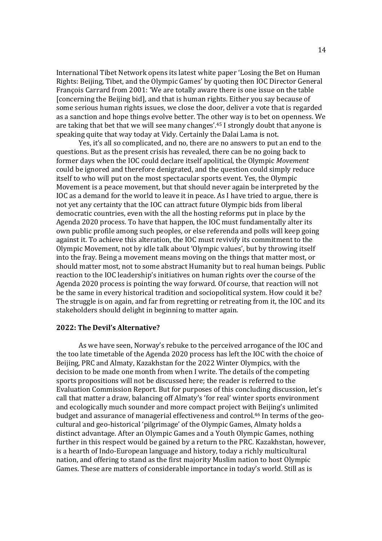International Tibet Network opens its latest white paper 'Losing the Bet on Human Rights: Beijing, Tibet, and the Olympic Games' by quoting then IOC Director General François Carrard from 2001: 'We are totally aware there is one issue on the table [concerning the Beijing bid], and that is human rights. Either you say because of some serious human rights issues, we close the door, deliver a vote that is regarded as a sanction and hope things evolve better. The other way is to bet on openness. We are taking that bet that we will see many changes'.<sup>45</sup> I strongly doubt that anyone is speaking quite that way today at Vidy. Certainly the Dalai Lama is not.

 Yes, it's all so complicated, and no, there are no answers to put an end to the questions. But as the present crisis has revealed, there can be no going back to former days when the IOC could declare itself apolitical, the Olympic *Movement* could be ignored and therefore denigrated, and the question could simply reduce itself to who will put on the most spectacular sports event. Yes, the Olympic Movement is a peace movement, but that should never again be interpreted by the IOC as a demand for the world to leave it in peace. As I have tried to argue, there is not yet any certainty that the IOC can attract future Olympic bids from liberal democratic countries, even with the all the hosting reforms put in place by the Agenda 2020 process. To have that happen, the IOC must fundamentally alter its own public profile among such peoples, or else referenda and polls will keep going against it. To achieve this alteration, the IOC must revivify its commitment to the Olympic Movement, not by idle talk about 'Olympic values', but by throwing itself into the fray. Being a movement means moving on the things that matter most, or should matter most, not to some abstract Humanity but to real human beings. Public reaction to the IOC leadership's initiatives on human rights over the course of the Agenda 2020 process is pointing the way forward. Of course, that reaction will not be the same in every historical tradition and sociopolitical system. How could it be? The struggle is on again, and far from regretting or retreating from it, the IOC and its stakeholders should delight in beginning to matter again.

## **2022: The Devil's Alternative?**

As we have seen, Norway's rebuke to the perceived arrogance of the IOC and the too late timetable of the Agenda 2020 process has left the IOC with the choice of Beijing, PRC and Almaty, Kazakhstan for the 2022 Winter Olympics, with the decision to be made one month from when I write. The details of the competing sports propositions will not be discussed here; the reader is referred to the Evaluation Commission Report. But for purposes of this concluding discussion, let's call that matter a draw, balancing off Almaty's 'for real' winter sports environment and ecologically much sounder and more compact project with Beijing's unlimited budget and assurance of managerial effectiveness and control.46 In terms of the geocultural and geo-historical 'pilgrimage' of the Olympic Games, Almaty holds a distinct advantage. After an Olympic Games and a Youth Olympic Games, nothing further in this respect would be gained by a return to the PRC. Kazakhstan, however, is a hearth of Indo-European language and history, today a richly multicultural nation, and offering to stand as the first majority Muslim nation to host Olympic Games. These are matters of considerable importance in today's world. Still as is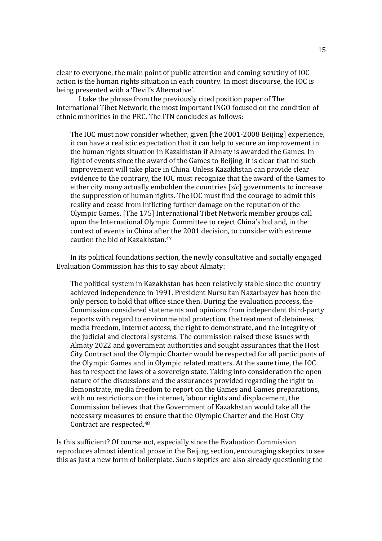clear to everyone, the main point of public attention and coming scrutiny of IOC action is the human rights situation in each country. In most discourse, the IOC is being presented with a 'Devil's Alternative'.

 I take the phrase from the previously cited position paper of The International Tibet Network, the most important INGO focused on the condition of ethnic minorities in the PRC. The ITN concludes as follows:

The IOC must now consider whether, given [the 2001-2008 Beijing] experience, it can have a realistic expectation that it can help to secure an improvement in the human rights situation in Kazakhstan if Almaty is awarded the Games. In light of events since the award of the Games to Beijing, it is clear that no such improvement will take place in China. Unless Kazakhstan can provide clear evidence to the contrary, the IOC must recognize that the award of the Games to either city many actually embolden the countries [*sic*] governments to increase the suppression of human rights. The IOC must find the courage to admit this reality and cease from inflicting further damage on the reputation of the Olympic Games. [The 175] International Tibet Network member groups call upon the International Olympic Committee to reject China's bid and, in the context of events in China after the 2001 decision, to consider with extreme caution the bid of Kazakhstan.<sup>47</sup>

In its political foundations section, the newly consultative and socially engaged Evaluation Commission has this to say about Almaty:

The political system in Kazakhstan has been relatively stable since the country achieved independence in 1991. President Nursultan Nazarbayev has been the only person to hold that office since then. During the evaluation process, the Commission considered statements and opinions from independent third-party reports with regard to environmental protection, the treatment of detainees, media freedom, Internet access, the right to demonstrate, and the integrity of the judicial and electoral systems. The commission raised these issues with Almaty 2022 and government authorities and sought assurances that the Host City Contract and the Olympic Charter would be respected for all participants of the Olympic Games and in Olympic related matters. At the same time, the IOC has to respect the laws of a sovereign state. Taking into consideration the open nature of the discussions and the assurances provided regarding the right to demonstrate, media freedom to report on the Games and Games preparations, with no restrictions on the internet, labour rights and displacement, the Commission believes that the Government of Kazakhstan would take all the necessary measures to ensure that the Olympic Charter and the Host City Contract are respected.<sup>48</sup>

Is this sufficient? Of course not, especially since the Evaluation Commission reproduces almost identical prose in the Beijing section, encouraging skeptics to see this as just a new form of boilerplate. Such skeptics are also already questioning the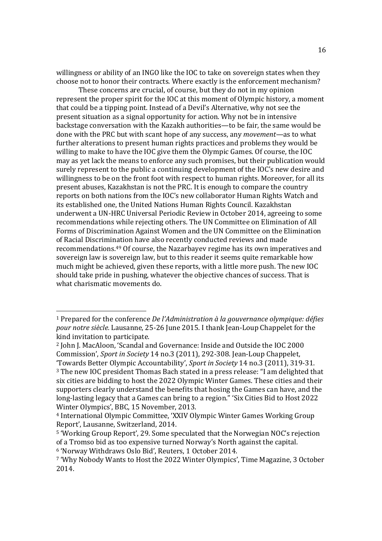willingness or ability of an INGO like the IOC to take on sovereign states when they choose not to honor their contracts. Where exactly is the enforcement mechanism?

 These concerns are crucial, of course, but they do not in my opinion represent the proper spirit for the IOC at this moment of Olympic history, a moment that could be a tipping point. Instead of a Devil's Alternative, why not see the present situation as a signal opportunity for action. Why not be in intensive backstage conversation with the Kazakh authorities—to be fair, the same would be done with the PRC but with scant hope of any success, any *movement*—as to what further alterations to present human rights practices and problems they would be willing to make to have the IOC give them the Olympic Games. Of course, the IOC may as yet lack the means to enforce any such promises, but their publication would surely represent to the public a continuing development of the IOC's new desire and willingness to be on the front foot with respect to human rights. Moreover, for all its present abuses, Kazakhstan is not the PRC. It is enough to compare the country reports on both nations from the IOC's new collaborator Human Rights Watch and its established one, the United Nations Human Rights Council. Kazakhstan underwent a UN-HRC Universal Periodic Review in October 2014, agreeing to some recommendations while rejecting others. The UN Committee on Elimination of All Forms of Discrimination Against Women and the UN Committee on the Elimination of Racial Discrimination have also recently conducted reviews and made recommendations.49 Of course, the Nazarbayev regime has its own imperatives and sovereign law is sovereign law, but to this reader it seems quite remarkable how much might be achieved, given these reports, with a little more push. The new IOC should take pride in pushing, whatever the objective chances of success. That is what charismatic movements do.

 $\overline{a}$ 

<sup>1</sup> Prepared for the conference *De l'Administration à la gouvernance olympique: défies pour notre siècle.* Lausanne, 25-26 June 2015. I thank Jean-Loup Chappelet for the kind invitation to participate.

<sup>2</sup> John J. MacAloon, 'Scandal and Governance: Inside and Outside the IOC 2000 Commission', *Sport in Society* 14 no.3 (2011), 292-308. Jean-Loup Chappelet,

<sup>&#</sup>x27;Towards Better Olympic Accountability', *Sport in Society* 14 no.3 (2011), 319-31. <sup>3</sup> The new IOC president Thomas Bach stated in a press release: "I am delighted that six cities are bidding to host the 2022 Olympic Winter Games. These cities and their supporters clearly understand the benefits that hosing the Games can have, and the long-lasting legacy that a Games can bring to a region." 'Six Cities Bid to Host 2022 Winter Olympics', BBC, 15 November, 2013.

<sup>4</sup> International Olympic Committee, 'XXIV Olympic Winter Games Working Group Report', Lausanne, Switzerland, 2014.

<sup>5</sup> 'Working Group Report', 29. Some speculated that the Norwegian NOC's rejection of a Tromso bid as too expensive turned Norway's North against the capital.

<sup>6</sup> 'Norway Withdraws Oslo Bid', Reuters, 1 October 2014.

<sup>7</sup> 'Why Nobody Wants to Host the 2022 Winter Olympics', Time Magazine, 3 October 2014.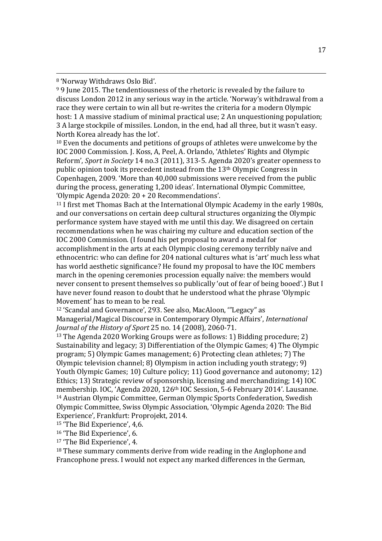<sup>8</sup> 'Norway Withdraws Oslo Bid'.

<sup>9</sup> 9 June 2015. The tendentiousness of the rhetoric is revealed by the failure to discuss London 2012 in any serious way in the article. 'Norway's withdrawal from a race they were certain to win all but re-writes the criteria for a modern Olympic host: 1 A massive stadium of minimal practical use: 2 An unquestioning population: 3 A large stockpile of missiles. London, in the end, had all three, but it wasn't easy. North Korea already has the lot'.

<sup>10</sup> Even the documents and petitions of groups of athletes were unwelcome by the IOC 2000 Commission. J. Koss, A, Peel, A. Orlando, 'Athletes' Rights and Olympic Reform', *Sport in Society* 14 no.3 (2011), 313-5. Agenda 2020's greater openness to public opinion took its precedent instead from the 13th Olympic Congress in Copenhagen, 2009. 'More than 40,000 submissions were received from the public during the process, generating 1,200 ideas'. International Olympic Committee, 'Olympic Agenda 2020: 20 + 20 Recommendations'.

<sup>11</sup> I first met Thomas Bach at the International Olympic Academy in the early 1980s, and our conversations on certain deep cultural structures organizing the Olympic performance system have stayed with me until this day. We disagreed on certain recommendations when he was chairing my culture and education section of the IOC 2000 Commission. (I found his pet proposal to award a medal for accomplishment in the arts at each Olympic closing ceremony terribly naïve and ethnocentric: who can define for 204 national cultures what is 'art' much less what has world aesthetic significance? He found my proposal to have the IOC members march in the opening ceremonies procession equally naïve: the members would never consent to present themselves so publically 'out of fear of being booed'.) But I have never found reason to doubt that he understood what the phrase 'Olympic Movement' has to mean to be real.

<sup>12</sup> 'Scandal and Governance', 293. See also, MacAloon, '"Legacy" as Managerial/Magical Discourse in Contemporary Olympic Affairs', *International Journal of the History of Sport* 25 no. 14 (2008), 2060-71.

<sup>13</sup> The Agenda 2020 Working Groups were as follows: 1) Bidding procedure; 2) Sustainability and legacy; 3) Differentiation of the Olympic Games; 4) The Olympic program; 5) Olympic Games management; 6) Protecting clean athletes; 7) The Olympic television channel; 8) Olympism in action including youth strategy; 9) Youth Olympic Games; 10) Culture policy; 11) Good governance and autonomy; 12) Ethics; 13) Strategic review of sponsorship, licensing and merchandizing; 14) IOC membership. IOC, 'Agenda 2020, 126th IOC Session, 5-6 February 2014'. Lausanne. <sup>14</sup> Austrian Olympic Committee, German Olympic Sports Confederation, Swedish Olympic Committee, Swiss Olympic Association, 'Olympic Agenda 2020: The Bid Experience', Frankfurt: Proprojekt, 2014.

<sup>15</sup> 'The Bid Experience', 4,6.

<sup>16</sup> 'The Bid Experience', 6.

<sup>17</sup> 'The Bid Experience', 4.

<sup>18</sup> These summary comments derive from wide reading in the Anglophone and Francophone press. I would not expect any marked differences in the German,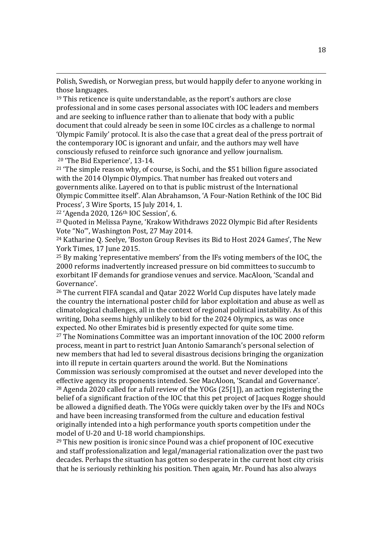Polish, Swedish, or Norwegian press, but would happily defer to anyone working in those languages.

<sup>19</sup> This reticence is quite understandable, as the report's authors are close professional and in some cases personal associates with IOC leaders and members and are seeking to influence rather than to alienate that body with a public document that could already be seen in some IOC circles as a challenge to normal 'Olympic Family' protocol. It is also the case that a great deal of the press portrait of the contemporary IOC is ignorant and unfair, and the authors may well have consciously refused to reinforce such ignorance and yellow journalism. <sup>20</sup> 'The Bid Experience', 13-14.

<sup>21</sup> 'The simple reason why, of course, is Sochi, and the \$51 billion figure associated with the 2014 Olympic Olympics. That number has freaked out voters and governments alike. Layered on to that is public mistrust of the International Olympic Committee itself'. Alan Abrahamson, 'A Four-Nation Rethink of the IOC Bid Process', 3 Wire Sports, 15 July 2014, 1.

<sup>22</sup> 'Agenda 2020, 126th IOC Session', 6.

<sup>23</sup> Quoted in Melissa Payne, 'Krakow Withdraws 2022 Olympic Bid after Residents Vote "No"', Washington Post, 27 May 2014.

<sup>24</sup> Katharine Q. Seelye, 'Boston Group Revises its Bid to Host 2024 Games', The New York Times, 17 June 2015.

<sup>25</sup> By making 'representative members' from the IFs voting members of the IOC, the 2000 reforms inadvertently increased pressure on bid committees to succumb to exorbitant IF demands for grandiose venues and service. MacAloon, 'Scandal and Governance'.

<sup>26</sup> The current FIFA scandal and Qatar 2022 World Cup disputes have lately made the country the international poster child for labor exploitation and abuse as well as climatological challenges, all in the context of regional political instability. As of this writing, Doha seems highly unlikely to bid for the 2024 Olympics, as was once expected. No other Emirates bid is presently expected for quite some time.

<sup>27</sup> The Nominations Committee was an important innovation of the IOC 2000 reform process, meant in part to restrict Juan Antonio Samaranch's personal selection of new members that had led to several disastrous decisions bringing the organization into ill repute in certain quarters around the world. But the Nominations

Commission was seriously compromised at the outset and never developed into the effective agency its proponents intended. See MacAloon, 'Scandal and Governance'. <sup>28</sup> Agenda 2020 called for a full review of the YOGs (25[1]), an action registering the belief of a significant fraction of the IOC that this pet project of Jacques Rogge should be allowed a dignified death. The YOGs were quickly taken over by the IFs and NOCs and have been increasing transformed from the culture and education festival originally intended into a high performance youth sports competition under the model of U-20 and U-18 world championships.

<sup>29</sup> This new position is ironic since Pound was a chief proponent of IOC executive and staff professionalization and legal/managerial rationalization over the past two decades. Perhaps the situation has gotten so desperate in the current host city crisis that he is seriously rethinking his position. Then again, Mr. Pound has also always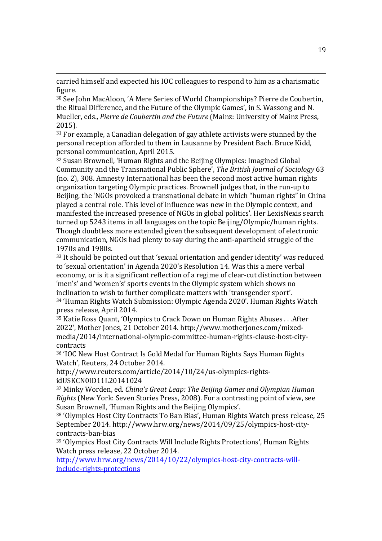carried himself and expected his IOC colleagues to respond to him as a charismatic figure.

<sup>30</sup> See John MacAloon, 'A Mere Series of World Championships? Pierre de Coubertin, the Ritual Difference, and the Future of the Olympic Games', in S. Wassong and N. Mueller, eds., *Pierre de Coubertin and the Future* (Mainz: University of Mainz Press, 2015).

<sup>31</sup> For example, a Canadian delegation of gay athlete activists were stunned by the personal reception afforded to them in Lausanne by President Bach. Bruce Kidd, personal communication, April 2015.

<sup>32</sup> Susan Brownell, 'Human Rights and the Beijing Olympics: Imagined Global Community and the Transnational Public Sphere', *The British Journal of Sociology* 63 (no. 2), 308. Amnesty International has been the second most active human rights organization targeting Olympic practices. Brownell judges that, in the run-up to Beijing, the 'NGOs provoked a transnational debate in which "human rights" in China played a central role. This level of influence was new in the Olympic context, and manifested the increased presence of NGOs in global politics'. Her LexisNexis search turned up 5243 items in all languages on the topic Beijing/Olympic/human rights. Though doubtless more extended given the subsequent development of electronic communication, NGOs had plenty to say during the anti-apartheid struggle of the 1970s and 1980s.

<sup>33</sup> It should be pointed out that 'sexual orientation and gender identity' was reduced to 'sexual orientation' in Agenda 2020's Resolution 14. Was this a mere verbal economy, or is it a significant reflection of a regime of clear-cut distinction between 'men's' and 'women's' sports events in the Olympic system which shows no inclination to wish to further complicate matters with 'transgender sport'. <sup>34</sup> 'Human Rights Watch Submission: Olympic Agenda 2020'. Human Rights Watch press release, April 2014.

<sup>35</sup> Katie Ross Quant, 'Olympics to Crack Down on Human Rights Abuses . . .After 2022', Mother Jones, 21 October 2014. http://www.motherjones.com/mixedmedia/2014/international-olympic-committee-human-rights-clause-host-citycontracts

<sup>36</sup> 'IOC New Host Contract Is Gold Medal for Human Rights Says Human Rights Watch', Reuters, 24 October 2014.

http://www.reuters.com/article/2014/10/24/us-olympics-rightsidUSKCN0ID11L20141024

<sup>37</sup> Minky Worden, ed. *China's Great Leap: The Beijing Games and Olympian Human Rights* (New York: Seven Stories Press, 2008). For a contrasting point of view, see Susan Brownell, 'Human Rights and the Beijing Olympics'.

<sup>38</sup> 'Olympics Host City Contracts To Ban Bias', Human Rights Watch press release, 25 September 2014. http://www.hrw.org/news/2014/09/25/olympics-host-citycontracts-ban-bias

<sup>39</sup> 'Olympics Host City Contracts Will Include Rights Protections', Human Rights Watch press release, 22 October 2014.

http://www.hrw.org/news/2014/10/22/olympics-host-city-contracts-willinclude-rights-protections